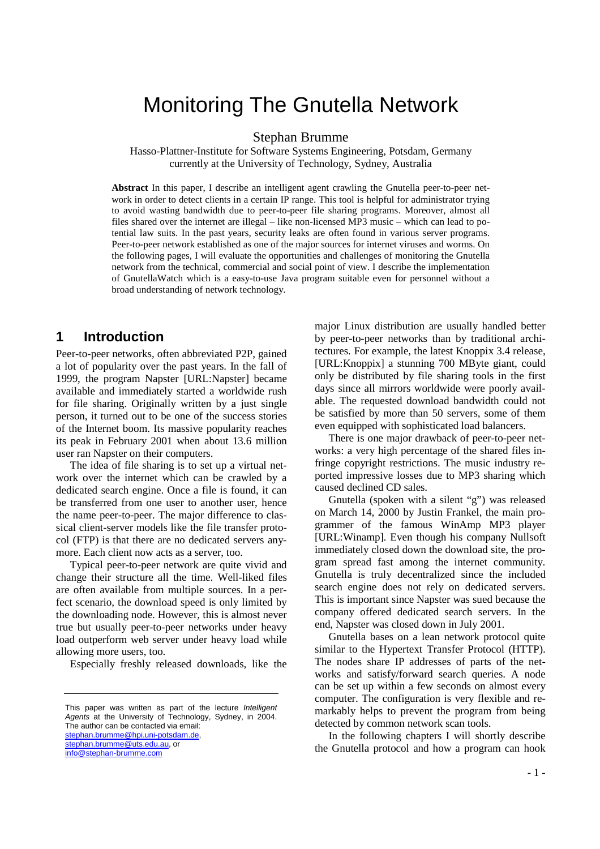# Monitoring The Gnutella Network

Stephan Brumme

Hasso-Plattner-Institute for Software Systems Engineering, Potsdam, Germany currently at the University of Technology, Sydney, Australia

**Abstract** In this paper, I describe an intelligent agent crawling the Gnutella peer-to-peer network in order to detect clients in a certain IP range. This tool is helpful for administrator trying to avoid wasting bandwidth due to peer-to-peer file sharing programs. Moreover, almost all files shared over the internet are illegal – like non-licensed MP3 music – which can lead to potential law suits. In the past years, security leaks are often found in various server programs. Peer-to-peer network established as one of the major sources for internet viruses and worms. On the following pages, I will evaluate the opportunities and challenges of monitoring the Gnutella network from the technical, commercial and social point of view. I describe the implementation of GnutellaWatch which is a easy-to-use Java program suitable even for personnel without a broad understanding of network technology.

### **1 Introduction**

Peer-to-peer networks, often abbreviated P2P, gained a lot of popularity over the past years. In the fall of 1999, the program Napster [URL:Napster] became available and immediately started a worldwide rush for file sharing. Originally written by a just single person, it turned out to be one of the success stories of the Internet boom. Its massive popularity reaches its peak in February 2001 when about 13.6 million user ran Napster on their computers.

The idea of file sharing is to set up a virtual network over the internet which can be crawled by a dedicated search engine. Once a file is found, it can be transferred from one user to another user, hence the name peer-to-peer. The major difference to classical client-server models like the file transfer protocol (FTP) is that there are no dedicated servers anymore. Each client now acts as a server, too.

Typical peer-to-peer network are quite vivid and change their structure all the time. Well-liked files are often available from multiple sources. In a perfect scenario, the download speed is only limited by the downloading node. However, this is almost never true but usually peer-to-peer networks under heavy load outperform web server under heavy load while allowing more users, too.

Especially freshly released downloads, like the

This paper was written as part of the lecture Intelligent Agents at the University of Technology, Sydney, in 2004. The author can be contacted via email: stephan.brumme@hpi.uni-potsdam.de, stephan.brumme@uts.edu.au, or info@stephan-brumme.com

major Linux distribution are usually handled better by peer-to-peer networks than by traditional architectures. For example, the latest Knoppix 3.4 release, [URL:Knoppix] a stunning 700 MByte giant, could only be distributed by file sharing tools in the first days since all mirrors worldwide were poorly available. The requested download bandwidth could not be satisfied by more than 50 servers, some of them even equipped with sophisticated load balancers.

There is one major drawback of peer-to-peer networks: a very high percentage of the shared files infringe copyright restrictions. The music industry reported impressive losses due to MP3 sharing which caused declined CD sales.

Gnutella (spoken with a silent "g") was released on March 14, 2000 by Justin Frankel, the main programmer of the famous WinAmp MP3 player [URL:Winamp]. Even though his company Nullsoft immediately closed down the download site, the program spread fast among the internet community. Gnutella is truly decentralized since the included search engine does not rely on dedicated servers. This is important since Napster was sued because the company offered dedicated search servers. In the end, Napster was closed down in July 2001.

Gnutella bases on a lean network protocol quite similar to the Hypertext Transfer Protocol (HTTP). The nodes share IP addresses of parts of the networks and satisfy/forward search queries. A node can be set up within a few seconds on almost every computer. The configuration is very flexible and remarkably helps to prevent the program from being detected by common network scan tools.

In the following chapters I will shortly describe the Gnutella protocol and how a program can hook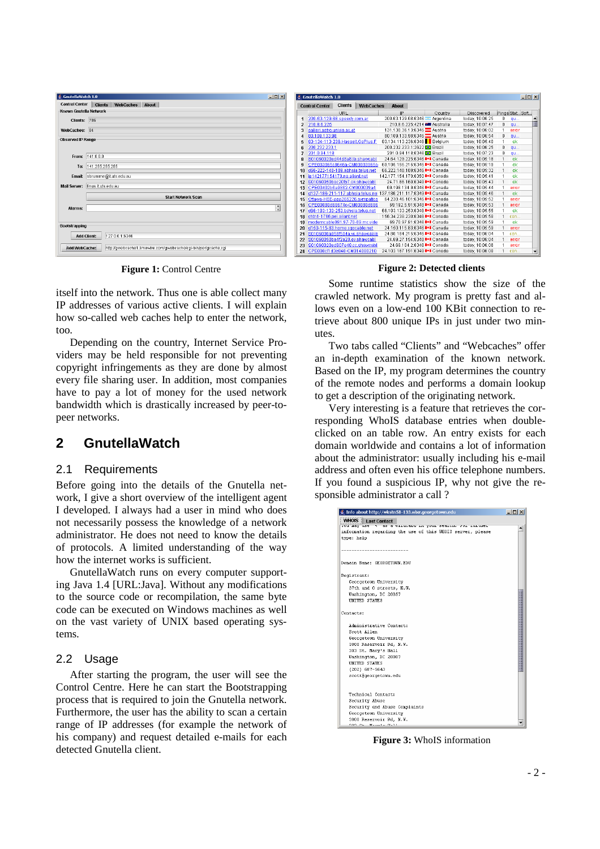| GnutellaWatch 1.0        |                                                                 | 口回り            |  |  |  |  |  |
|--------------------------|-----------------------------------------------------------------|----------------|--|--|--|--|--|
| <b>Control Center</b>    | <b>WebCaches</b><br>About<br><b>Clients</b>                     |                |  |  |  |  |  |
| Known Gnutella Network   |                                                                 |                |  |  |  |  |  |
| Clients: 786             |                                                                 |                |  |  |  |  |  |
| WebCaches:               | 84                                                              |                |  |  |  |  |  |
| <b>Observed IP Range</b> |                                                                 |                |  |  |  |  |  |
| From:                    | 141.0.0.0                                                       |                |  |  |  |  |  |
| To:                      | 141.255.255.255                                                 |                |  |  |  |  |  |
| Email:                   | sbrumme@it.uts.edu.au                                           |                |  |  |  |  |  |
| Mail Server:             | linus.it.uts.edu.au                                             |                |  |  |  |  |  |
|                          | <b>Start Network Scan</b>                                       |                |  |  |  |  |  |
| Alarms:                  |                                                                 | $\ddot{\cdot}$ |  |  |  |  |  |
|                          |                                                                 |                |  |  |  |  |  |
| Bootstrapping            |                                                                 |                |  |  |  |  |  |
| <b>Add Client:</b>       | 127.0.0.1:6346                                                  |                |  |  |  |  |  |
| Add WebCache:            | http://gwebcache1.limewire.com/gwebcache/cqi-bin/perlqcache.cqi |                |  |  |  |  |  |

itself into the network. Thus one is able collect many IP addresses of various active clients. I will explain how so-called web caches help to enter the network, too.

Depending on the country, Internet Service Providers may be held responsible for not preventing copyright infringements as they are done by almost every file sharing user. In addition, most companies have to pay a lot of money for the used network bandwidth which is drastically increased by peer-topeer networks.

## **2 GnutellaWatch**

#### 2.1 Requirements

Before going into the details of the Gnutella network, I give a short overview of the intelligent agent I developed. I always had a user in mind who does not necessarily possess the knowledge of a network administrator. He does not need to know the details of protocols. A limited understanding of the way how the internet works is sufficient.

GnutellaWatch runs on every computer supporting Java 1.4 [URL:Java]. Without any modifications to the source code or recompilation, the same byte code can be executed on Windows machines as well on the vast variety of UNIX based operating systems.

#### 2.2 Usage

After starting the program, the user will see the Control Centre. Here he can start the Bootstrapping process that is required to join the Gnutella network. Furthermore, the user has the ability to scan a certain range of IP addresses (for example the network of his company) and request detailed e-mails for each detected Gnutella client.

| <b>Control Center</b>                  | <b>Clients</b> | <b>WebCaches</b> | <b>About</b>                                                     |                                          |         |                 |                |                 |  |
|----------------------------------------|----------------|------------------|------------------------------------------------------------------|------------------------------------------|---------|-----------------|----------------|-----------------|--|
|                                        | URL.           |                  | IP                                                               |                                          | Country | Discovered      |                | Pings Stat Soft |  |
| 200-63-129-68.speedy.com.ar<br>1       |                |                  |                                                                  | 200.63.129.68:6346 - Argentina           |         | today, 10:06:25 | 0              | <b>qu</b>       |  |
| 210.8.6.225<br>$\overline{c}$          |                |                  |                                                                  | 210.8.6.225:4214 BM Australia            |         | today, 10:07:47 | n              | <b>au</b>       |  |
| salieri.astro.univie.ac.at<br>3        |                |                  |                                                                  | 131.130.36.13:6346 Austria               |         | today, 10:06:02 | 1              | error           |  |
| 80.109.133.98<br>4                     |                |                  |                                                                  | 80.109.133.98:6346 <u>2</u> Austria      |         | today, 10:06:54 | n              | qu              |  |
| 83-134-113-236.Hasselt.GoPlus.F<br>5   |                |                  | 83.134.113.236:6346 Belgium                                      |                                          |         | today, 10:05:40 | 1              | ok              |  |
| 200.232.233.1<br>6                     |                |                  |                                                                  | 200.232.233.1:2622 <b>C</b> Brazil       |         | today, 10:06:25 | n              | <b>qu</b>       |  |
| 201.0.94.118<br>7                      |                |                  |                                                                  | 201.0.94.118:6346 <b>C</b> Brazil        |         | today, 10:07:23 | n              | αu              |  |
| S01060020ed44d8a8.lb.shawcabl<br>R     |                |                  |                                                                  | 24.64.129.225:6346 <sup>8-1</sup> Canada |         | today, 10:05:18 | 1              | ok              |  |
| CPE003065c8646a-CM00003965ci<br>9      |                |                  | 69.195.156.216:6346 <sup>1+1</sup> Canada                        |                                          |         | today, 10:05:19 | 1              | ok              |  |
| d66-222-148-189.abhsia.telus.net<br>10 |                |                  | 66.222.148.189:6346 <sup>8+</sup> Canada                         |                                          |         | today, 10:05:32 | 1              | ok              |  |
| ip142177154170.ns.aliant.net<br>11     |                |                  | 142.177.154.170:6350 <sup>1+1</sup> Canada                       |                                          |         | today, 10:05:41 | 1              | ok              |  |
| S01060050bac20fb7.ok.shawcabl<br>12    |                |                  |                                                                  | 24 71 66 160 6348 <sup>1 .</sup> Canada  |         | today, 10:05:43 | $\overline{1}$ | ok              |  |
| CPE00402b6a9862-CM000039a4<br>13       |                |                  |                                                                  | 69.198.134.9:6346 <sup>1+1</sup> Canada  |         | today, 10:05:44 | 1              | error           |  |
| 14                                     |                |                  | d137-186-211-117.abhsia.telus.ne 137.186.211.117:6349 I+I Canada |                                          |         | today. 10:05:46 | 1              | ok              |  |
| Ottawa-HSE-ppp265226.sympatico<br>15   |                |                  |                                                                  | 64.230.46.101:6346 <sup>1+1</sup> Canada |         | today, 10:05:52 | 1              | error           |  |
| CPE00080d69674c-CM00080d696<br>16      |                |                  |                                                                  | 69.192.5.91:6348 <sup>1</sup> Canada     |         | today, 10:05:53 | 1              | error           |  |
| d66-183-133-253.bchsia.telus.net<br>17 |                |                  | 66.183.133.253:6346 <sup>84</sup> Canada                         |                                          |         | today, 10:05:55 | 1              | ok              |  |
| chtn1-1766.pei.aliant.net<br>18        |                |                  | 156.34.238.230:6346 <sup>1+1</sup> Canada                        |                                          |         | today, 10:05:58 | 1              | con             |  |
| moderncable081.97-70-69.mc.vide<br>19  |                |                  |                                                                  | 69.70.97.81:6346 <sup>1 .</sup> Canada   |         | today, 10:05:59 | 1              | ok              |  |
| d150-115-83.home.caocable.net<br>20    |                |                  |                                                                  | 24.150.115.83:6346 <sup>1+1</sup> Canada |         | today, 10:05:59 |                | error           |  |
| S0106000a958f504a.vc.shawcable<br>21   |                |                  |                                                                  | 24.80.184.215:6346 <sup>8-1</sup> Canada |         | today, 10:06:04 | 1              | $cnn$ .         |  |
| S01060050ba4f2a20.gv.shawcabl<br>22    |                |                  |                                                                  | 24.69.27.154:6348 <sup>8+</sup> Canada   |         | today, 10:06:04 | 1              | error           |  |
| S01060020ed907e48.cc.shawcabl<br>23    |                |                  |                                                                  | 24.69.104.2:6346 <sup>1-1</sup> Canada   |         | today, 10:06:06 | 1              | error           |  |
| CPE000cf1d3e840-CM014080210<br>24      |                |                  | 24.103.167.191:6348 <sup>8-1</sup> Canada                        |                                          |         | today, 10:06:08 | 1              | con             |  |

**Figure 1:** Control Centre **Figure 2:** Detected clients

Some runtime statistics show the size of the crawled network. My program is pretty fast and allows even on a low-end 100 KBit connection to retrieve about 800 unique IPs in just under two minutes.

Two tabs called "Clients" and "Webcaches" offer an in-depth examination of the known network. Based on the IP, my program determines the country of the remote nodes and performs a domain lookup to get a description of the originating network.

Very interesting is a feature that retrieves the corresponding WhoIS database entries when doubleclicked on an table row. An entry exists for each domain worldwide and contains a lot of information about the administrator: usually including his e-mail address and often even his office telephone numbers. If you found a suspicious IP, why not give the responsible administrator a call ?

| Info about http://wkstn58-133.wlxr.georgetown.edu          | $  D $ $\times$ |
|------------------------------------------------------------|-----------------|
| <b>WHOIS</b><br><b>Last Contact</b>                        |                 |
| iou may use s as a wilucaru in your search. For rurcher    |                 |
| information regarding the use of this WHOIS server, please |                 |
| type: help                                                 |                 |
|                                                            |                 |
|                                                            |                 |
| Domain Name: GEORGETOWN.EDU                                |                 |
|                                                            |                 |
| Registrant:                                                |                 |
| Georgetown University                                      |                 |
| 37th and 0 streets. N.W.                                   |                 |
| Washington, DC 20057                                       |                 |
| UNITED STATES                                              |                 |
|                                                            |                 |
| Contacts:                                                  |                 |
|                                                            |                 |
| Administrative Contact:                                    |                 |
| Scott Allen                                                |                 |
| Georgetown University                                      |                 |
| 3800 Reservoir Rd, N.W.                                    |                 |
| 303 St. Mary's Hall                                        |                 |
| Washington, DC 20007                                       |                 |
| <b>UNITED STATES</b>                                       |                 |
| (202) 687-5643                                             |                 |
| scott@georgetown.edu                                       |                 |
|                                                            |                 |
|                                                            |                 |
| Technical Contact:                                         |                 |
| Security Abuse                                             |                 |
| Security and Abuse Complaints                              |                 |
| Georgetown University                                      |                 |
| 3800 Reservoir Rd, N.W.                                    |                 |
| 0.00, 0.4, 0.00, 0.00, 0.00, 0.00                          |                 |

**Figure 3:** WhoIS information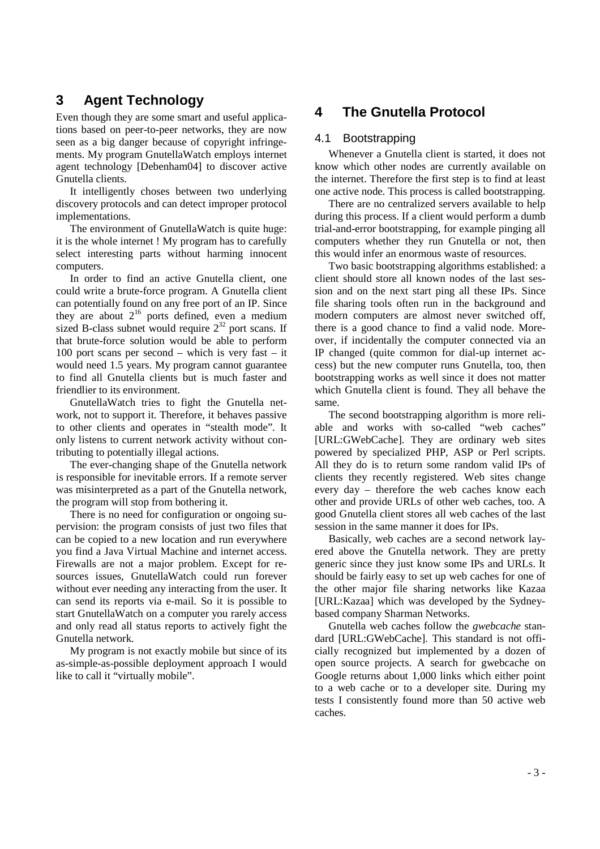# **3 Agent Technology**

Even though they are some smart and useful applications based on peer-to-peer networks, they are now seen as a big danger because of copyright infringements. My program GnutellaWatch employs internet agent technology [Debenham04] to discover active Gnutella clients.

It intelligently choses between two underlying discovery protocols and can detect improper protocol implementations.

The environment of GnutellaWatch is quite huge: it is the whole internet ! My program has to carefully select interesting parts without harming innocent computers.

In order to find an active Gnutella client, one could write a brute-force program. A Gnutella client can potentially found on any free port of an IP. Since they are about  $2^{16}$  ports defined, even a medium sized B-class subnet would require  $2^{32}$  port scans. If that brute-force solution would be able to perform 100 port scans per second – which is very fast – it would need 1.5 years. My program cannot guarantee to find all Gnutella clients but is much faster and friendlier to its environment.

GnutellaWatch tries to fight the Gnutella network, not to support it. Therefore, it behaves passive to other clients and operates in "stealth mode". It only listens to current network activity without contributing to potentially illegal actions.

The ever-changing shape of the Gnutella network is responsible for inevitable errors. If a remote server was misinterpreted as a part of the Gnutella network, the program will stop from bothering it.

There is no need for configuration or ongoing supervision: the program consists of just two files that can be copied to a new location and run everywhere you find a Java Virtual Machine and internet access. Firewalls are not a major problem. Except for resources issues, GnutellaWatch could run forever without ever needing any interacting from the user. It can send its reports via e-mail. So it is possible to start GnutellaWatch on a computer you rarely access and only read all status reports to actively fight the Gnutella network.

My program is not exactly mobile but since of its as-simple-as-possible deployment approach I would like to call it "virtually mobile".

# **4 The Gnutella Protocol**

#### 4.1 Bootstrapping

Whenever a Gnutella client is started, it does not know which other nodes are currently available on the internet. Therefore the first step is to find at least one active node. This process is called bootstrapping.

There are no centralized servers available to help during this process. If a client would perform a dumb trial-and-error bootstrapping, for example pinging all computers whether they run Gnutella or not, then this would infer an enormous waste of resources.

Two basic bootstrapping algorithms established: a client should store all known nodes of the last session and on the next start ping all these IPs. Since file sharing tools often run in the background and modern computers are almost never switched off, there is a good chance to find a valid node. Moreover, if incidentally the computer connected via an IP changed (quite common for dial-up internet access) but the new computer runs Gnutella, too, then bootstrapping works as well since it does not matter which Gnutella client is found. They all behave the same.

The second bootstrapping algorithm is more reliable and works with so-called "web caches" [URL:GWebCache]. They are ordinary web sites powered by specialized PHP, ASP or Perl scripts. All they do is to return some random valid IPs of clients they recently registered. Web sites change every day – therefore the web caches know each other and provide URLs of other web caches, too. A good Gnutella client stores all web caches of the last session in the same manner it does for IPs.

Basically, web caches are a second network layered above the Gnutella network. They are pretty generic since they just know some IPs and URLs. It should be fairly easy to set up web caches for one of the other major file sharing networks like Kazaa [URL:Kazaa] which was developed by the Sydneybased company Sharman Networks.

Gnutella web caches follow the *gwebcache* standard [URL:GWebCache]. This standard is not officially recognized but implemented by a dozen of open source projects. A search for gwebcache on Google returns about 1,000 links which either point to a web cache or to a developer site. During my tests I consistently found more than 50 active web caches.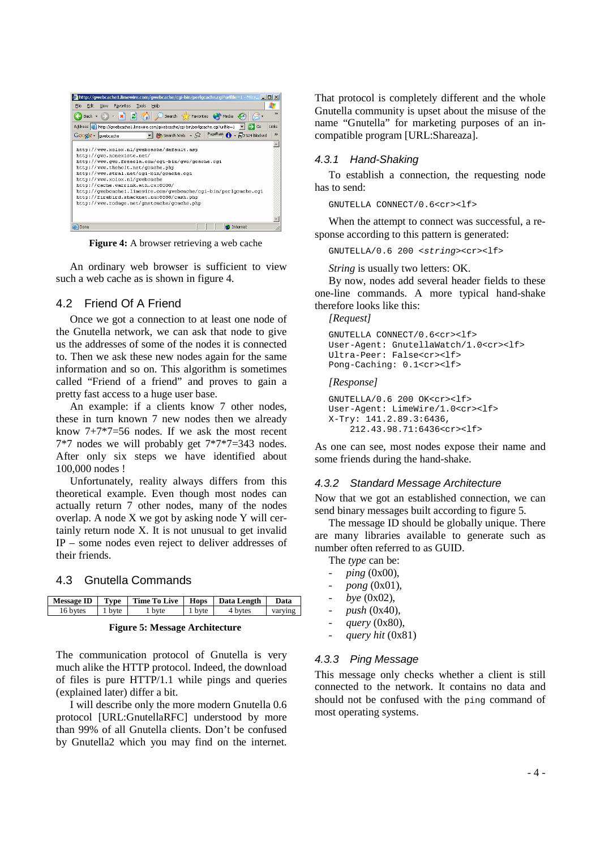| http://qwebcache1.limewire.com/qwebcache/cqi-bin/perlgcache.cqi?urlfile=1 - Micr $\Box$ X                         |
|-------------------------------------------------------------------------------------------------------------------|
| Edit<br>Favorites<br>Tools<br>Help<br>File<br><b>View</b>                                                         |
|                                                                                                                   |
| $\rightarrow$                                                                                                     |
| Address et http://gwebcache1.limewire.com/gwebcache/cgi-bin/perlgcache.cgi?urlfile=1<br>Links<br>$\Rightarrow$ Go |
| 除 Search Web → & PageRank A → 中 524 blocked<br>Google v qwebcache<br>$\rightarrow$                                |
|                                                                                                                   |
| http://www.xolox.nl/gwebcache/default.asp                                                                         |
| http://qwc.nonexiste.net/                                                                                         |
| http://www.qwc.freeola.com/cqi-bin/qwc/qcache.cqi                                                                 |
| http://www.theholt.net/gcache.php                                                                                 |
| http://www.stral.net/cgi-bin/gcache.cgi                                                                           |
| http://www.xolox.nl/qwebcache                                                                                     |
| http://cache.warrink.ath.cx:8000/                                                                                 |
| http://gwebcache1.limewire.com/gwebcache/cgi-bin/perlgcache.cgi                                                   |
| http://firebird.shacknet.nu:8888/cash.php                                                                         |
| http://www.rodage.net/gnetcache/gcache.php                                                                        |
|                                                                                                                   |
|                                                                                                                   |
| Done<br>Internet                                                                                                  |

**Figure 4:** A browser retrieving a web cache

An ordinary web browser is sufficient to view such a web cache as is shown in figure 4.

#### 4.2 Friend Of A Friend

Once we got a connection to at least one node of the Gnutella network, we can ask that node to give us the addresses of some of the nodes it is connected to. Then we ask these new nodes again for the same information and so on. This algorithm is sometimes called "Friend of a friend" and proves to gain a pretty fast access to a huge user base.

An example: if a clients know 7 other nodes, these in turn known 7 new nodes then we already know 7+7\*7=56 nodes. If we ask the most recent 7\*7 nodes we will probably get 7\*7\*7=343 nodes. After only six steps we have identified about 100,000 nodes !

Unfortunately, reality always differs from this theoretical example. Even though most nodes can actually return 7 other nodes, many of the nodes overlap. A node X we got by asking node Y will certainly return node X. It is not unusual to get invalid IP – some nodes even reject to deliver addresses of their friends.

#### 4.3 Gnutella Commands

|          |        | Message ID   Tvpe   Time To Live   Hops   Data Length |        |         | Data    |
|----------|--------|-------------------------------------------------------|--------|---------|---------|
| 16 bytes | 1 byte | 1 byte                                                | 1 byte | 4 bytes | varving |

**Figure 5: Message Architecture**

The communication protocol of Gnutella is very much alike the HTTP protocol. Indeed, the download of files is pure HTTP/1.1 while pings and queries (explained later) differ a bit.

I will describe only the more modern Gnutella 0.6 protocol [URL:GnutellaRFC] understood by more than 99% of all Gnutella clients. Don't be confused by Gnutella2 which you may find on the internet. That protocol is completely different and the whole Gnutella community is upset about the misuse of the name "Gnutella" for marketing purposes of an incompatible program [URL:Shareaza].

#### 4.3.1 Hand-Shaking

To establish a connection, the requesting node has to send:

GNUTELLA CONNECT/0.6<cr><lf>

When the attempt to connect was successful, a response according to this pattern is generated:

GNUTELLA/0.6 200 <string><cr><lf>

*String* is usually two letters: OK.

By now, nodes add several header fields to these one-line commands. A more typical hand-shake therefore looks like this:

*[Request]* 

```
GNUTELLA CONNECT/0.6<cr><lf> 
User-Agent: GnutellaWatch/1.0<cr><lf> 
Ultra-Peer: False<cr><lf> 
Pong-Caching: 0.1<cr><lf>
```
*[Response]* 

```
GNUTELLA/0.6 200 OK<cr><lf> 
User-Agent: LimeWire/1.0<cr><lf> 
X-Try: 141.2.89.3:6436, 
     212.43.98.71:6436<cr><lf>
```
As one can see, most nodes expose their name and some friends during the hand-shake.

#### 4.3.2 Standard Message Architecture

Now that we got an established connection, we can send binary messages built according to figure 5.

The message ID should be globally unique. There are many libraries available to generate such as number often referred to as GUID.

The *type* can be:

- *ping* (0x00),
- *pong* (0x01),
- *bye* (0x02),
- *push* (0x40),
- *query* (0x80),
- *query hit* (0x81)

#### 4.3.3 Ping Message

This message only checks whether a client is still connected to the network. It contains no data and should not be confused with the ping command of most operating systems.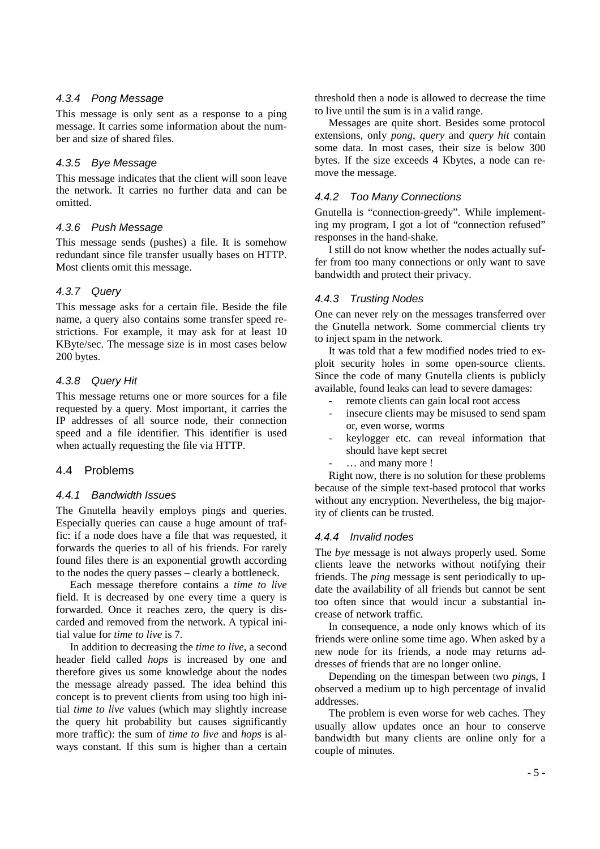#### 4.3.4 Pong Message

This message is only sent as a response to a ping message. It carries some information about the number and size of shared files.

#### 4.3.5 Bye Message

This message indicates that the client will soon leave the network. It carries no further data and can be omitted.

#### 4.3.6 Push Message

This message sends (pushes) a file. It is somehow redundant since file transfer usually bases on HTTP. Most clients omit this message.

#### 4.3.7 Query

This message asks for a certain file. Beside the file name, a query also contains some transfer speed restrictions. For example, it may ask for at least 10 KByte/sec. The message size is in most cases below 200 bytes.

#### 4.3.8 Query Hit

This message returns one or more sources for a file requested by a query. Most important, it carries the IP addresses of all source node, their connection speed and a file identifier. This identifier is used when actually requesting the file via HTTP.

### 4.4 Problems

#### 4.4.1 Bandwidth Issues

The Gnutella heavily employs pings and queries. Especially queries can cause a huge amount of traffic: if a node does have a file that was requested, it forwards the queries to all of his friends. For rarely found files there is an exponential growth according to the nodes the query passes – clearly a bottleneck.

Each message therefore contains a *time to live* field. It is decreased by one every time a query is forwarded. Once it reaches zero, the query is discarded and removed from the network. A typical initial value for *time to live* is 7.

In addition to decreasing the *time to live*, a second header field called *hops* is increased by one and therefore gives us some knowledge about the nodes the message already passed. The idea behind this concept is to prevent clients from using too high initial *time to live* values (which may slightly increase the query hit probability but causes significantly more traffic): the sum of *time to live* and *hops* is always constant. If this sum is higher than a certain

threshold then a node is allowed to decrease the time to live until the sum is in a valid range.

Messages are quite short. Besides some protocol extensions, only *pong*, *query* and *query hit* contain some data. In most cases, their size is below 300 bytes. If the size exceeds 4 Kbytes, a node can remove the message.

#### 4.4.2 Too Many Connections

Gnutella is "connection-greedy". While implementing my program, I got a lot of "connection refused" responses in the hand-shake.

I still do not know whether the nodes actually suffer from too many connections or only want to save bandwidth and protect their privacy.

#### 4.4.3 Trusting Nodes

One can never rely on the messages transferred over the Gnutella network. Some commercial clients try to inject spam in the network.

It was told that a few modified nodes tried to exploit security holes in some open-source clients. Since the code of many Gnutella clients is publicly available, found leaks can lead to severe damages:

- remote clients can gain local root access
- insecure clients may be misused to send spam or, even worse, worms
- keylogger etc. can reveal information that should have kept secret
- ... and many more !

Right now, there is no solution for these problems because of the simple text-based protocol that works without any encryption. Nevertheless, the big majority of clients can be trusted.

#### 4.4.4 Invalid nodes

The *bye* message is not always properly used. Some clients leave the networks without notifying their friends. The *ping* message is sent periodically to update the availability of all friends but cannot be sent too often since that would incur a substantial increase of network traffic.

In consequence, a node only knows which of its friends were online some time ago. When asked by a new node for its friends, a node may returns addresses of friends that are no longer online.

Depending on the timespan between two *ping*s, I observed a medium up to high percentage of invalid addresses.

The problem is even worse for web caches. They usually allow updates once an hour to conserve bandwidth but many clients are online only for a couple of minutes.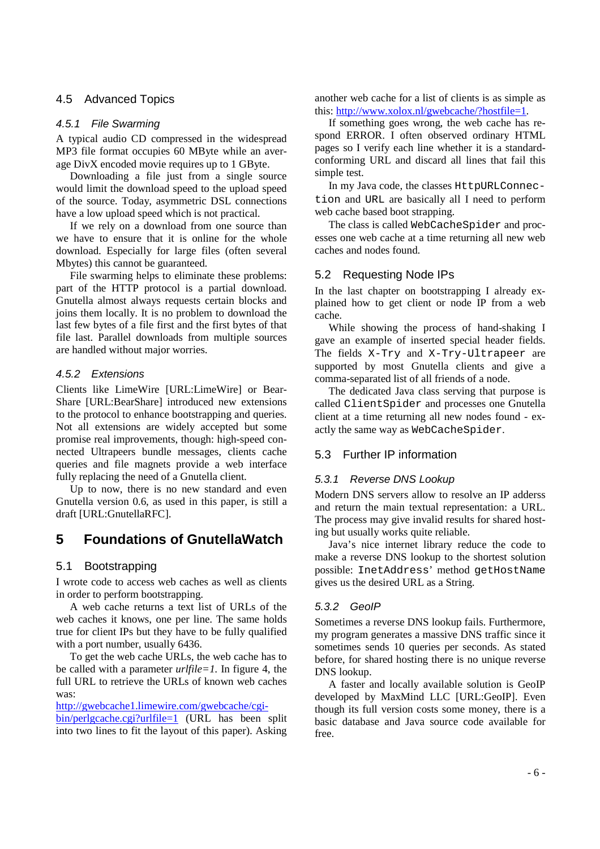### 4.5 Advanced Topics

#### 4.5.1 File Swarming

A typical audio CD compressed in the widespread MP3 file format occupies 60 MByte while an average DivX encoded movie requires up to 1 GByte.

Downloading a file just from a single source would limit the download speed to the upload speed of the source. Today, asymmetric DSL connections have a low upload speed which is not practical.

If we rely on a download from one source than we have to ensure that it is online for the whole download. Especially for large files (often several Mbytes) this cannot be guaranteed.

File swarming helps to eliminate these problems: part of the HTTP protocol is a partial download. Gnutella almost always requests certain blocks and joins them locally. It is no problem to download the last few bytes of a file first and the first bytes of that file last. Parallel downloads from multiple sources are handled without major worries.

#### 4.5.2 Extensions

Clients like LimeWire [URL:LimeWire] or Bear-Share [URL:BearShare] introduced new extensions to the protocol to enhance bootstrapping and queries. Not all extensions are widely accepted but some promise real improvements, though: high-speed connected Ultrapeers bundle messages, clients cache queries and file magnets provide a web interface fully replacing the need of a Gnutella client.

Up to now, there is no new standard and even Gnutella version 0.6, as used in this paper, is still a draft [URL:GnutellaRFC].

# **5 Foundations of GnutellaWatch**

### 5.1 Bootstrapping

I wrote code to access web caches as well as clients in order to perform bootstrapping.

A web cache returns a text list of URLs of the web caches it knows, one per line. The same holds true for client IPs but they have to be fully qualified with a port number, usually 6436.

To get the web cache URLs, the web cache has to be called with a parameter *urlfile=1*. In figure 4, the full URL to retrieve the URLs of known web caches was:

#### http://gwebcache1.limewire.com/gwebcache/cgi-

bin/perlgcache.cgi?urlfile=1 (URL has been split into two lines to fit the layout of this paper). Asking another web cache for a list of clients is as simple as this: http://www.xolox.nl/gwebcache/?hostfile=1.

If something goes wrong, the web cache has respond ERROR. I often observed ordinary HTML pages so I verify each line whether it is a standardconforming URL and discard all lines that fail this simple test.

In my Java code, the classes HttpURLConnection and URL are basically all I need to perform web cache based boot strapping.

The class is called WebCacheSpider and processes one web cache at a time returning all new web caches and nodes found.

### 5.2 Requesting Node IPs

In the last chapter on bootstrapping I already explained how to get client or node IP from a web cache.

While showing the process of hand-shaking I gave an example of inserted special header fields. The fields X-Try and X-Try-Ultrapeer are supported by most Gnutella clients and give a comma-separated list of all friends of a node.

The dedicated Java class serving that purpose is called ClientSpider and processes one Gnutella client at a time returning all new nodes found - exactly the same way as WebCacheSpider.

### 5.3 Further IP information

### 5.3.1 Reverse DNS Lookup

Modern DNS servers allow to resolve an IP adderss and return the main textual representation: a URL. The process may give invalid results for shared hosting but usually works quite reliable.

Java's nice internet library reduce the code to make a reverse DNS lookup to the shortest solution possible: InetAddress' method getHostName gives us the desired URL as a String.

### 5.3.2 GeoIP

Sometimes a reverse DNS lookup fails. Furthermore, my program generates a massive DNS traffic since it sometimes sends 10 queries per seconds. As stated before, for shared hosting there is no unique reverse DNS lookup.

A faster and locally available solution is GeoIP developed by MaxMind LLC [URL:GeoIP]. Even though its full version costs some money, there is a basic database and Java source code available for free.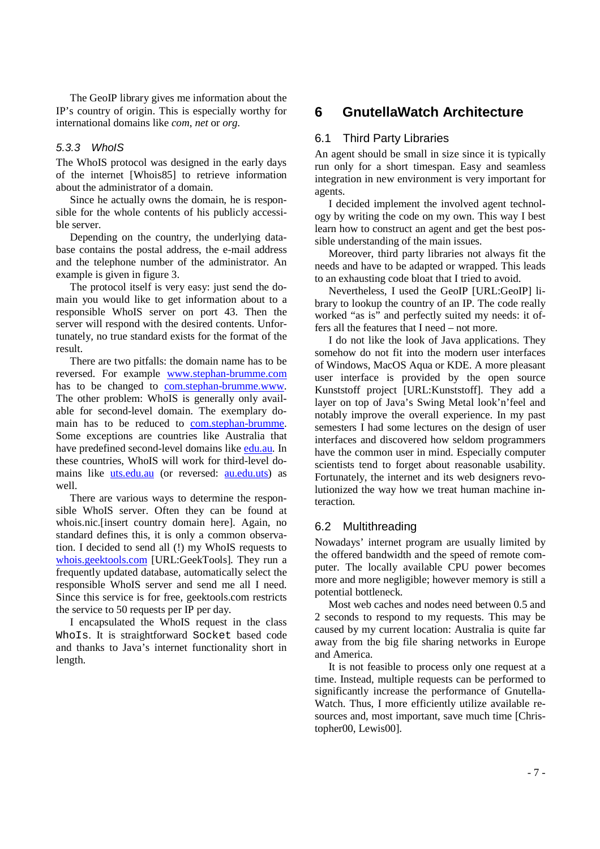The GeoIP library gives me information about the IP's country of origin. This is especially worthy for international domains like *com*, *net* or *org*.

#### 5.3.3 WhoIS

The WhoIS protocol was designed in the early days of the internet [Whois85] to retrieve information about the administrator of a domain.

Since he actually owns the domain, he is responsible for the whole contents of his publicly accessible server.

Depending on the country, the underlying database contains the postal address, the e-mail address and the telephone number of the administrator. An example is given in figure 3.

The protocol itself is very easy: just send the domain you would like to get information about to a responsible WhoIS server on port 43. Then the server will respond with the desired contents. Unfortunately, no true standard exists for the format of the result.

There are two pitfalls: the domain name has to be reversed. For example www.stephan-brumme.com has to be changed to com.stephan-brumme.www. The other problem: WhoIS is generally only available for second-level domain. The exemplary domain has to be reduced to com.stephan-brumme. Some exceptions are countries like Australia that have predefined second-level domains like edu.au. In these countries, WhoIS will work for third-level domains like uts.edu.au (or reversed: au.edu.uts) as well.

There are various ways to determine the responsible WhoIS server. Often they can be found at whois.nic.[insert country domain here]. Again, no standard defines this, it is only a common observation. I decided to send all (!) my WhoIS requests to whois.geektools.com [URL:GeekTools]. They run a frequently updated database, automatically select the responsible WhoIS server and send me all I need. Since this service is for free, geektools.com restricts the service to 50 requests per IP per day.

I encapsulated the WhoIS request in the class WhoIs. It is straightforward Socket based code and thanks to Java's internet functionality short in length.

# **6 GnutellaWatch Architecture**

#### 6.1 Third Party Libraries

An agent should be small in size since it is typically run only for a short timespan. Easy and seamless integration in new environment is very important for agents.

I decided implement the involved agent technology by writing the code on my own. This way I best learn how to construct an agent and get the best possible understanding of the main issues.

Moreover, third party libraries not always fit the needs and have to be adapted or wrapped. This leads to an exhausting code bloat that I tried to avoid.

Nevertheless, I used the GeoIP [URL:GeoIP] library to lookup the country of an IP. The code really worked "as is" and perfectly suited my needs: it offers all the features that I need – not more.

I do not like the look of Java applications. They somehow do not fit into the modern user interfaces of Windows, MacOS Aqua or KDE. A more pleasant user interface is provided by the open source Kunststoff project [URL:Kunststoff]. They add a layer on top of Java's Swing Metal look'n'feel and notably improve the overall experience. In my past semesters I had some lectures on the design of user interfaces and discovered how seldom programmers have the common user in mind. Especially computer scientists tend to forget about reasonable usability. Fortunately, the internet and its web designers revolutionized the way how we treat human machine interaction.

#### 6.2 Multithreading

Nowadays' internet program are usually limited by the offered bandwidth and the speed of remote computer. The locally available CPU power becomes more and more negligible; however memory is still a potential bottleneck.

Most web caches and nodes need between 0.5 and 2 seconds to respond to my requests. This may be caused by my current location: Australia is quite far away from the big file sharing networks in Europe and America.

It is not feasible to process only one request at a time. Instead, multiple requests can be performed to significantly increase the performance of Gnutella-Watch. Thus, I more efficiently utilize available resources and, most important, save much time [Christopher00, Lewis00].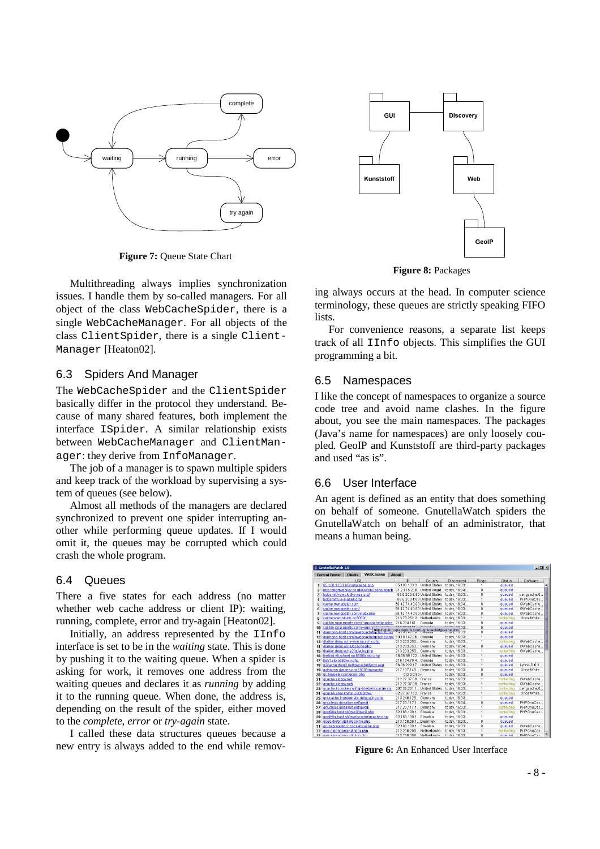

**Figure 7: Queue State Chart** 

Multithreading always implies synchronization issues. I handle them by so-called managers. For all object of the class WebCacheSpider, there is a single WebCacheManager. For all objects of the class ClientSpider, there is a single Client-Manager [Heaton02].

#### 6.3 Spiders And Manager

The WebCacheSpider and the ClientSpider basically differ in the protocol they understand. Because of many shared features, both implement the interface ISpider. A similar relationship exists between WebCacheManager and ClientManager: they derive from InfoManager.

The job of a manager is to spawn multiple spiders and keep track of the workload by supervising a system of queues (see below).

Almost all methods of the managers are declared synchronized to prevent one spider interrupting another while performing queue updates. If I would omit it, the queues may be corrupted which could crash the whole program.

#### 6.4 Queues

There a five states for each address (no matter whether web cache address or client IP): waiting, running, complete, error and try-again [Heaton02].

Initially, an address represented by the IInfo interface is set to be in the *waiting* state. This is done by pushing it to the waiting queue. When a spider is asking for work, it removes one address from the waiting queues and declares it as *running* by adding it to the running queue. When done, the address is, depending on the result of the spider, either moved to the *complete*, *error* or *try-again* state.

I called these data structures queues because a new entry is always added to the end while remov-



**Figure 8:** Packages

ing always occurs at the head. In computer science terminology, these queues are strictly speaking FIFO liete.

For convenience reasons, a separate list keeps track of all IInfo objects. This simplifies the GUI programming a bit.

#### 6.5 Namespaces

I like the concept of namespaces to organize a source code tree and avoid name clashes. In the figure about, you see the main namespaces. The packages (Java's name for namespaces) are only loosely coupled. GeoIP and Kunststoff are third-party packages and used "as is".

#### 6.6 User Interface

An agent is defined as an entity that does something on behalf of someone. GnutellaWatch spiders the GnutellaWatch on behalf of an administrator, that means a human being.



**Figure 6:** An Enhanced User Interface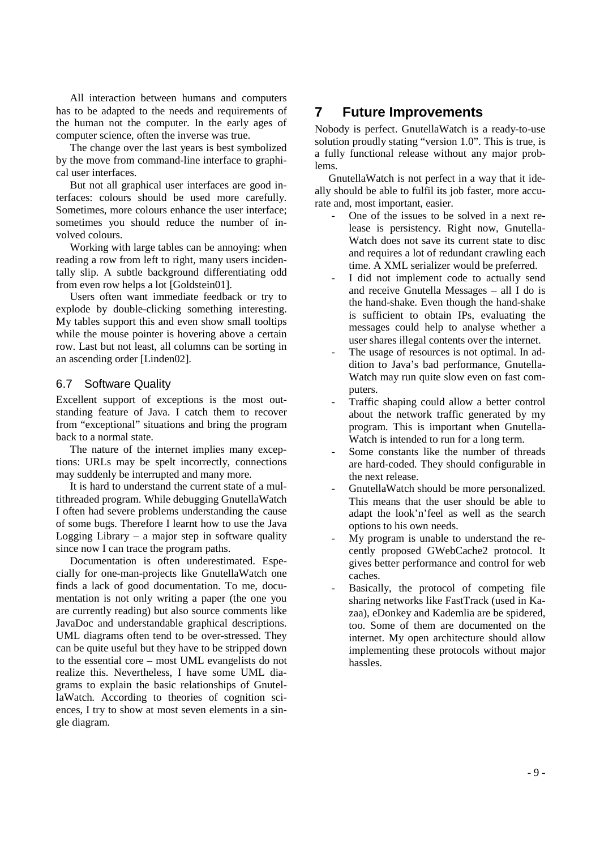All interaction between humans and computers has to be adapted to the needs and requirements of the human not the computer. In the early ages of computer science, often the inverse was true.

The change over the last years is best symbolized by the move from command-line interface to graphical user interfaces.

But not all graphical user interfaces are good interfaces: colours should be used more carefully. Sometimes, more colours enhance the user interface; sometimes you should reduce the number of involved colours.

Working with large tables can be annoying: when reading a row from left to right, many users incidentally slip. A subtle background differentiating odd from even row helps a lot [Goldstein01].

Users often want immediate feedback or try to explode by double-clicking something interesting. My tables support this and even show small tooltips while the mouse pointer is hovering above a certain row. Last but not least, all columns can be sorting in an ascending order [Linden02].

### 6.7 Software Quality

Excellent support of exceptions is the most outstanding feature of Java. I catch them to recover from "exceptional" situations and bring the program back to a normal state.

The nature of the internet implies many exceptions: URLs may be spelt incorrectly, connections may suddenly be interrupted and many more.

It is hard to understand the current state of a multithreaded program. While debugging GnutellaWatch I often had severe problems understanding the cause of some bugs. Therefore I learnt how to use the Java Logging Library – a major step in software quality since now I can trace the program paths.

Documentation is often underestimated. Especially for one-man-projects like GnutellaWatch one finds a lack of good documentation. To me, documentation is not only writing a paper (the one you are currently reading) but also source comments like JavaDoc and understandable graphical descriptions. UML diagrams often tend to be over-stressed. They can be quite useful but they have to be stripped down to the essential core – most UML evangelists do not realize this. Nevertheless, I have some UML diagrams to explain the basic relationships of GnutellaWatch. According to theories of cognition sciences, I try to show at most seven elements in a single diagram.

# **7 Future Improvements**

Nobody is perfect. GnutellaWatch is a ready-to-use solution proudly stating "version 1.0". This is true, is a fully functional release without any major problems.

GnutellaWatch is not perfect in a way that it ideally should be able to fulfil its job faster, more accurate and, most important, easier.

- One of the issues to be solved in a next release is persistency. Right now, Gnutella-Watch does not save its current state to disc and requires a lot of redundant crawling each time. A XML serializer would be preferred.
- I did not implement code to actually send and receive Gnutella Messages – all I do is the hand-shake. Even though the hand-shake is sufficient to obtain IPs, evaluating the messages could help to analyse whether a user shares illegal contents over the internet.
- The usage of resources is not optimal. In addition to Java's bad performance, Gnutella-Watch may run quite slow even on fast computers.
- Traffic shaping could allow a better control about the network traffic generated by my program. This is important when Gnutella-Watch is intended to run for a long term.
- Some constants like the number of threads are hard-coded. They should configurable in the next release.
- GnutellaWatch should be more personalized. This means that the user should be able to adapt the look'n'feel as well as the search options to his own needs.
- My program is unable to understand the recently proposed GWebCache2 protocol. It gives better performance and control for web caches.
- Basically, the protocol of competing file sharing networks like FastTrack (used in Kazaa), eDonkey and Kademlia are be spidered, too. Some of them are documented on the internet. My open architecture should allow implementing these protocols without major hassles.